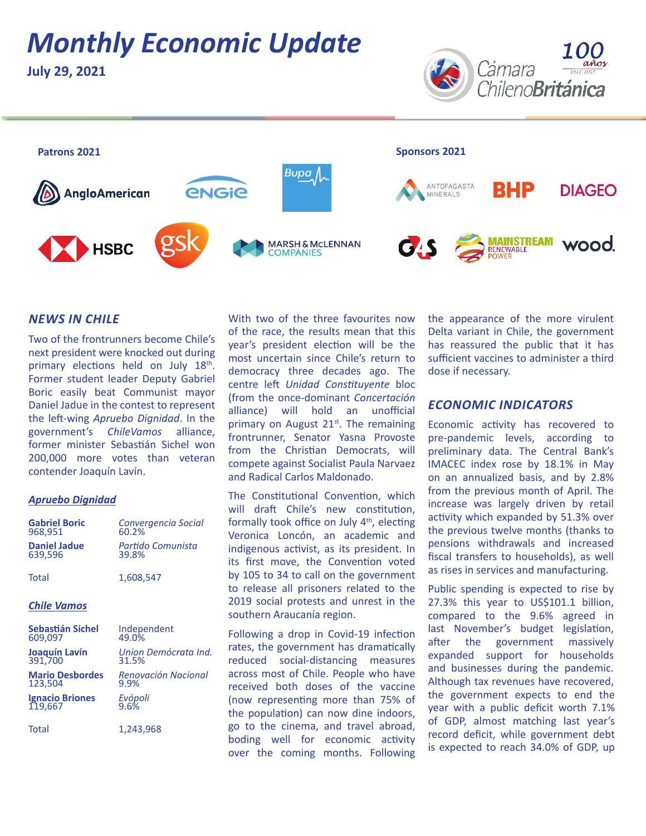# *Monthly Economic Update*

**July 29, 2021**





### *NEWS IN CHILE*

Two of the frontrunners become Chile's next president were knocked out during primary elections held on July 18<sup>th</sup>. Former student leader Deputy Gabriel Boric easily beat Communist mayor Daniel Jadue in the contest to represent the left-wing *Apruebo Dignidad*. In the government's *ChileVamos* alliance, former minister Sebastián Sichel won 200,000 more votes than veteran contender Joaquín Lavín.

#### *Apruebo Dignidad*

| <b>Gabriel Boric</b>   | Convergencia Social  |
|------------------------|----------------------|
| 968,951                | 60.2%                |
| <b>Daniel Jadue</b>    | Partido Comunista    |
| 639,596                | 39.8%                |
| Total                  | 1,608,547            |
| <b>Chile Vamos</b>     |                      |
| Sebastián Sichel       | Independent          |
| 609,097                | 49.0%                |
| Joaquín Lavín          | Union Demócrata Ind. |
| 391,700                | 31.5%                |
| <b>Mario Desbordes</b> | Renovación Nacional  |
| 123,504                | 9.9%                 |
| <b>Ignacio Briones</b> | Evópoli              |
| 119,667                | $9.6\%$              |
| Total                  | 1,243,968            |

With two of the three favourites now of the race, the results mean that this year's president election will be the most uncertain since Chile's return to democracy three decades ago. The centre left *Unidad Constituyente* bloc (from the once-dominant *Concertación* alliance) will hold an unofficial primary on August  $21<sup>st</sup>$ . The remaining frontrunner, Senator Yasna Provoste from the Christian Democrats, will compete against Socialist Paula Narvaez and Radical Carlos Maldonado.

The Constitutional Convention, which will draft Chile's new constitution, formally took office on July  $4<sup>th</sup>$ , electing Veronica Loncón, an academic and indigenous activist, as its president. In its first move, the Convention voted by 105 to 34 to call on the government to release all prisoners related to the 2019 social protests and unrest in the southern Araucanía region.

Following a drop in Covid-19 infection rates, the government has dramatically reduced social-distancing measures across most of Chile. People who have received both doses of the vaccine (now representing more than 75% of the population) can now dine indoors, go to the cinema, and travel abroad, boding well for economic activity over the coming months. Following

the appearance of the more virulent Delta variant in Chile, the government has reassured the public that it has sufficient vaccines to administer a third dose if necessary.

#### *ECONOMIC INDICATORS*

Economic activity has recovered to pre-pandemic levels, according to preliminary data. The Central Bank's IMACEC index rose by 18.1% in May on an annualized basis, and by 2.8% from the previous month of April. The increase was largely driven by retail activity which expanded by 51.3% over the previous twelve months (thanks to pensions withdrawals and increased fiscal transfers to households), as well as rises in services and manufacturing.

Public spending is expected to rise by 27.3% this year to US\$101.1 billion, compared to the 9.6% agreed in last November's budget legislation, after the government massively expanded support for households and businesses during the pandemic. Although tax revenues have recovered, the government expects to end the year with a public deficit worth 7.1% of GDP, almost matching last year's record deficit, while government debt is expected to reach 34.0% of GDP, up